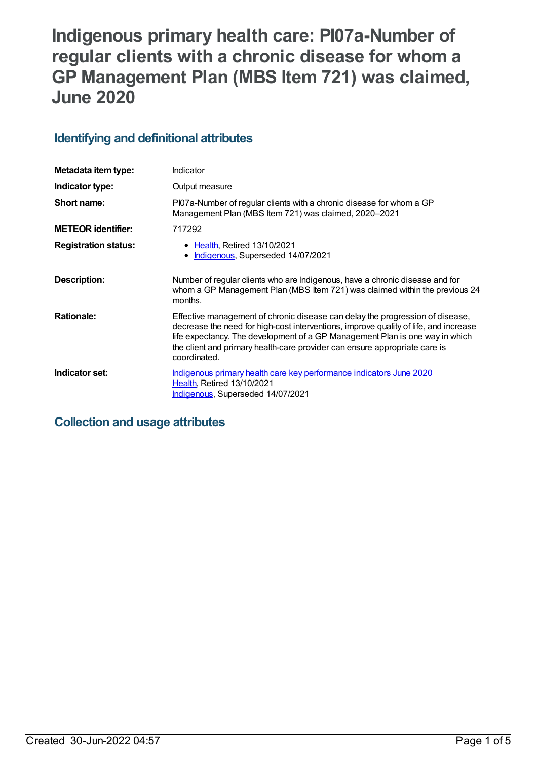# **Indigenous primary health care: PI07a-Number of regular clients with a chronic disease for whom a GP Management Plan (MBS Item 721) was claimed, June 2020**

# **Identifying and definitional attributes**

| Metadata item type:         | Indicator                                                                                                                                                                                                                                                                                                                                           |
|-----------------------------|-----------------------------------------------------------------------------------------------------------------------------------------------------------------------------------------------------------------------------------------------------------------------------------------------------------------------------------------------------|
| Indicator type:             | Output measure                                                                                                                                                                                                                                                                                                                                      |
| Short name:                 | PI07a-Number of regular clients with a chronic disease for whom a GP<br>Management Plan (MBS Item 721) was claimed, 2020-2021                                                                                                                                                                                                                       |
| <b>METEOR identifier:</b>   | 717292                                                                                                                                                                                                                                                                                                                                              |
| <b>Registration status:</b> | • Health, Retired 13/10/2021<br>Indigenous, Superseded 14/07/2021                                                                                                                                                                                                                                                                                   |
| Description:                | Number of regular clients who are Indigenous, have a chronic disease and for<br>whom a GP Management Plan (MBS Item 721) was claimed within the previous 24<br>months.                                                                                                                                                                              |
| <b>Rationale:</b>           | Effective management of chronic disease can delay the progression of disease,<br>decrease the need for high-cost interventions, improve quality of life, and increase<br>life expectancy. The development of a GP Management Plan is one way in which<br>the client and primary health-care provider can ensure appropriate care is<br>coordinated. |
| Indicator set:              | Indigenous primary health care key performance indicators June 2020<br><b>Health, Retired 13/10/2021</b><br>Indigenous, Superseded 14/07/2021                                                                                                                                                                                                       |

# **Collection and usage attributes**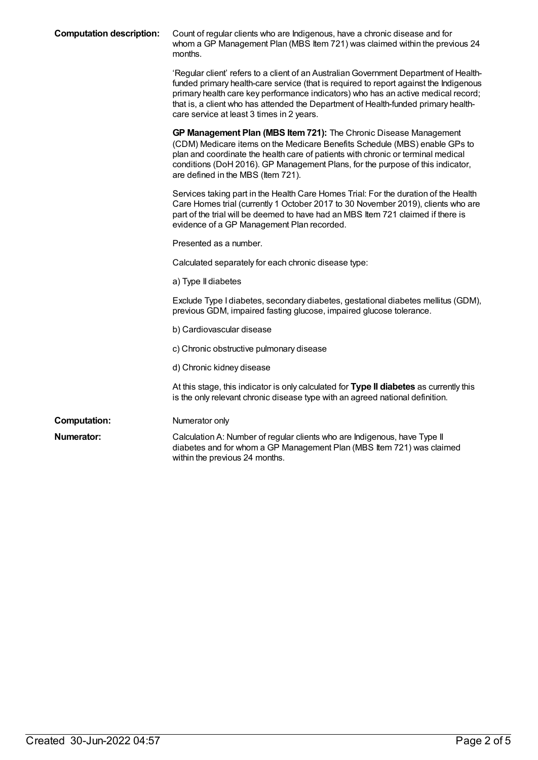| <b>Computation description:</b> | Count of regular clients who are Indigenous, have a chronic disease and for<br>whom a GP Management Plan (MBS Item 721) was claimed within the previous 24<br>months.                                                                                                                                                                                                                                  |
|---------------------------------|--------------------------------------------------------------------------------------------------------------------------------------------------------------------------------------------------------------------------------------------------------------------------------------------------------------------------------------------------------------------------------------------------------|
|                                 | 'Regular client' refers to a client of an Australian Government Department of Health-<br>funded primary health-care service (that is required to report against the Indigenous<br>primary health care key performance indicators) who has an active medical record;<br>that is, a client who has attended the Department of Health-funded primary health-<br>care service at least 3 times in 2 years. |
|                                 | GP Management Plan (MBS Item 721): The Chronic Disease Management<br>(CDM) Medicare items on the Medicare Benefits Schedule (MBS) enable GPs to<br>plan and coordinate the health care of patients with chronic or terminal medical<br>conditions (DoH 2016). GP Management Plans, for the purpose of this indicator,<br>are defined in the MBS (Item 721).                                            |
|                                 | Services taking part in the Health Care Homes Trial: For the duration of the Health<br>Care Homes trial (currently 1 October 2017 to 30 November 2019), clients who are<br>part of the trial will be deemed to have had an MBS Item 721 claimed if there is<br>evidence of a GP Management Plan recorded.                                                                                              |
|                                 | Presented as a number.                                                                                                                                                                                                                                                                                                                                                                                 |
|                                 | Calculated separately for each chronic disease type:                                                                                                                                                                                                                                                                                                                                                   |
|                                 | a) Type II diabetes                                                                                                                                                                                                                                                                                                                                                                                    |
|                                 | Exclude Type I diabetes, secondary diabetes, gestational diabetes mellitus (GDM),<br>previous GDM, impaired fasting glucose, impaired glucose tolerance.                                                                                                                                                                                                                                               |
|                                 | b) Cardiovascular disease                                                                                                                                                                                                                                                                                                                                                                              |
|                                 | c) Chronic obstructive pulmonary disease                                                                                                                                                                                                                                                                                                                                                               |
|                                 | d) Chronic kidney disease                                                                                                                                                                                                                                                                                                                                                                              |
|                                 | At this stage, this indicator is only calculated for Type II diabetes as currently this<br>is the only relevant chronic disease type with an agreed national definition.                                                                                                                                                                                                                               |
| <b>Computation:</b>             | Numerator only                                                                                                                                                                                                                                                                                                                                                                                         |
| Numerator:                      | Calculation A: Number of regular clients who are Indigenous, have Type II<br>diabetes and for whom a GP Management Plan (MBS Item 721) was claimed<br>within the previous 24 months.                                                                                                                                                                                                                   |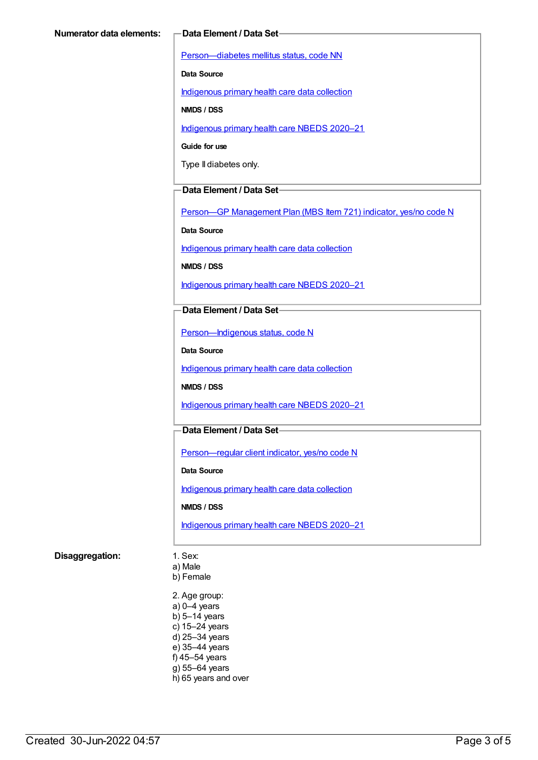[Person—diabetes](https://meteor.aihw.gov.au/content/270194) mellitus status, code NN

**Data Source**

[Indigenous](https://meteor.aihw.gov.au/content/430643) primary health care data collection

**NMDS / DSS**

[Indigenous](https://meteor.aihw.gov.au/content/715320) primary health care NBEDS 2020–21

**Guide for use**

Type II diabetes only.

#### **Data Element / Data Set**

Person-GP [Management](https://meteor.aihw.gov.au/content/504966) Plan (MBS Item 721) indicator, yes/no code N

**Data Source**

[Indigenous](https://meteor.aihw.gov.au/content/430643) primary health care data collection

**NMDS / DSS**

[Indigenous](https://meteor.aihw.gov.au/content/715320) primary health care NBEDS 2020–21

#### **Data Element / Data Set**

[Person—Indigenous](https://meteor.aihw.gov.au/content/602543) status, code N

**Data Source**

[Indigenous](https://meteor.aihw.gov.au/content/430643) primary health care data collection

**NMDS / DSS**

[Indigenous](https://meteor.aihw.gov.au/content/715320) primary health care NBEDS 2020–21

### **Data Element / Data Set**

[Person—regular](https://meteor.aihw.gov.au/content/686291) client indicator, yes/no code N

**Data Source**

[Indigenous](https://meteor.aihw.gov.au/content/430643) primary health care data collection

**NMDS / DSS**

[Indigenous](https://meteor.aihw.gov.au/content/715320) primary health care NBEDS 2020–21

#### **Disaggregation:** 1. Sex:

a) Male

b) Female

2. Age group: a) 0–4 years b) 5–14 years c) 15–24 years d) 25–34 years e) 35–44 years f) 45–54 years g) 55–64 years h) 65 years and over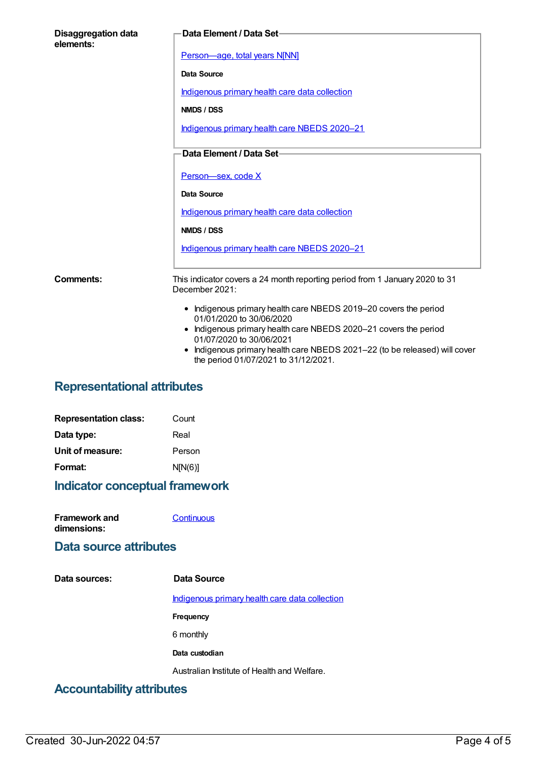| <b>Disaggregation data</b><br>elements: | Data Element / Data Set-                                                                                                                                                                                                                                                                                         |
|-----------------------------------------|------------------------------------------------------------------------------------------------------------------------------------------------------------------------------------------------------------------------------------------------------------------------------------------------------------------|
|                                         | Person-age, total years N[NN]                                                                                                                                                                                                                                                                                    |
|                                         | Data Source                                                                                                                                                                                                                                                                                                      |
|                                         | Indigenous primary health care data collection                                                                                                                                                                                                                                                                   |
|                                         | NMDS / DSS                                                                                                                                                                                                                                                                                                       |
|                                         | Indigenous primary health care NBEDS 2020-21                                                                                                                                                                                                                                                                     |
|                                         | Data Element / Data Set-                                                                                                                                                                                                                                                                                         |
|                                         |                                                                                                                                                                                                                                                                                                                  |
|                                         | Person-sex, code X                                                                                                                                                                                                                                                                                               |
|                                         | <b>Data Source</b>                                                                                                                                                                                                                                                                                               |
|                                         | Indigenous primary health care data collection                                                                                                                                                                                                                                                                   |
|                                         | NMDS / DSS                                                                                                                                                                                                                                                                                                       |
|                                         | Indigenous primary health care NBEDS 2020-21                                                                                                                                                                                                                                                                     |
| Comments:                               | This indicator covers a 24 month reporting period from 1 January 2020 to 31<br>December 2021:                                                                                                                                                                                                                    |
|                                         | • Indigenous primary health care NBEDS 2019-20 covers the period<br>01/01/2020 to 30/06/2020<br>• Indigenous primary health care NBEDS 2020-21 covers the period<br>01/07/2020 to 30/06/2021<br>Indigenous primary health care NBEDS 2021-22 (to be released) will cover<br>the period 01/07/2021 to 31/12/2021. |

# **Representational attributes**

| <b>Representation class:</b> | Count   |
|------------------------------|---------|
| Data type:                   | Real    |
| Unit of measure:             | Person  |
| Format:                      | N[N(6)] |

# **Indicator conceptual framework**

| <b>Framework and</b> | Continuous |
|----------------------|------------|
| dimensions:          |            |

### **Data source attributes**

| Data sources:                             | Data Source                                    |
|-------------------------------------------|------------------------------------------------|
|                                           | Indigenous primary health care data collection |
|                                           | Frequency                                      |
|                                           | 6 monthly                                      |
|                                           | Data custodian                                 |
|                                           | Australian Institute of Health and Welfare.    |
| A a a an contacta little contituitanciera |                                                |

# **Accountability attributes**